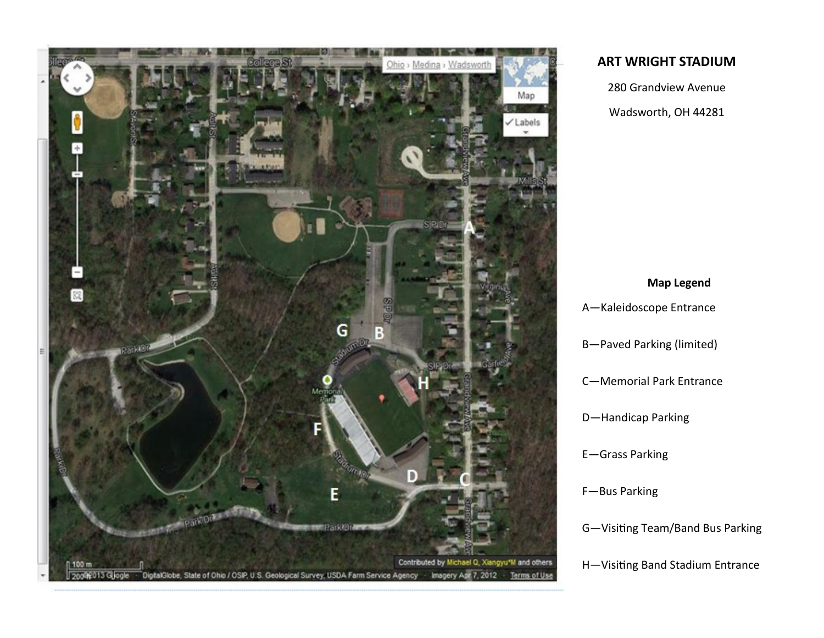

## **ART WRIGHT STADIUM**

280 Grandview Avenue Wadsworth, OH 44281

# **Map Legend** A—Kaleidoscope Entrance B—Paved Parking (limited) C—Memorial Park Entrance D—Handicap Parking E—Grass Parking F—Bus Parking G—Visiting Team/Band Bus Parking H—Visiting Band Stadium Entrance